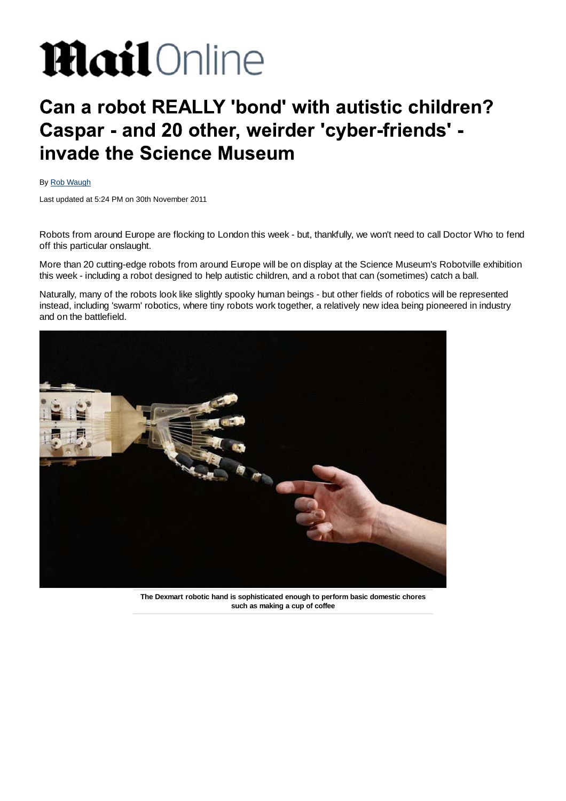# **Mail**Online

# Can a robot REALLY 'bond' with autistic children? Caspar - and 20 other, weirder 'cyber-friends' invade the Science Museum

## By Rob Waugh

Last updated at 5:24 PM on 30th November 2011

Robots from around Europe are flocking to London this week - but, thankfully, we won't need to call Doctor Who to fend off this particular onslaught.

More than 20 cutting-edge robots from around Europe will be on display at the Science Museum's Robotville exhibition this week - including a robot designed to help autistic children, and a robot that can (sometimes) catch a ball.

Naturally, many of the robots look like slightly spooky human beings - but other fields of robotics will be represented instead, including 'swarm' robotics, where tiny robots work together, a relatively new idea being pioneered in industry and on the battlefield.



**The Dexmart robotic hand is sophisticated enough to perform basic domestic chores such as making a cup of coffee**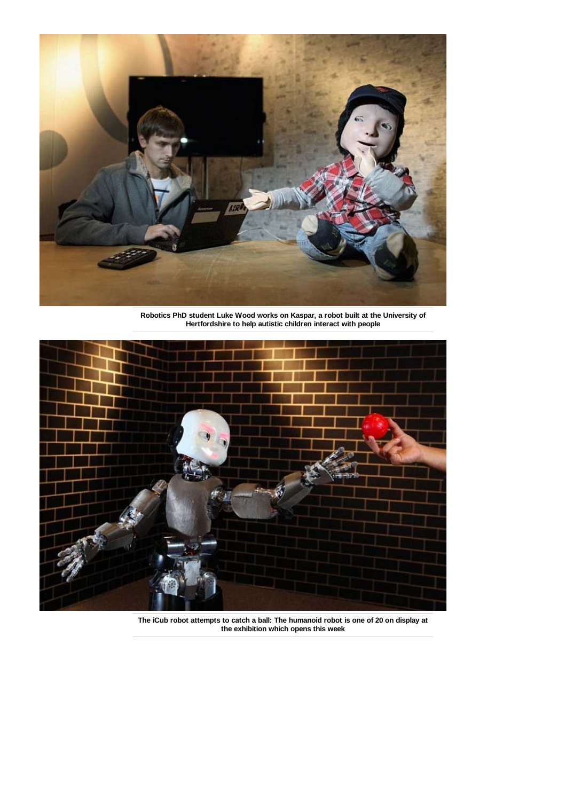

**Robotics PhD student Luke Wood works on Kaspar, a robot built at the University of Hertfordshire to help autistic children interact with people**



**The iCub robot attempts to catch a ball: The humanoid robot is one of 20 on display at the exhibition which opens this week**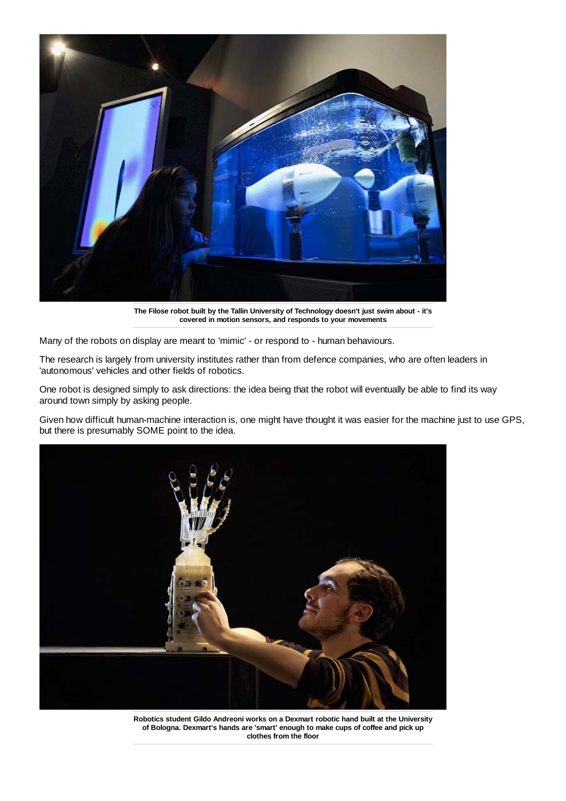

**The Filose robot built by the Tallin University of Technology doesn't just swim about - it's covered in motion sensors, and responds to your movements**

Many of the robots on display are meant to 'mimic' - or respond to - human behaviours.

The research is largely from university institutes rather than from defence companies, who are often leaders in 'autonomous' vehicles and other fields of robotics.

One robot is designed simply to ask directions: the idea being that the robot will eventually be able to find its way around town simply by asking people.

Given how difficult human-machine interaction is, one might have thought it was easier for the machine just to use GPS, but there is presumably SOME point to the idea.



**Robotics student Gildo Andreoni works on a Dexmart robotic hand built at the University of Bologna. Dexmart's hands are 'smart' enough to make cups of coffee and pick up clothes from the floor**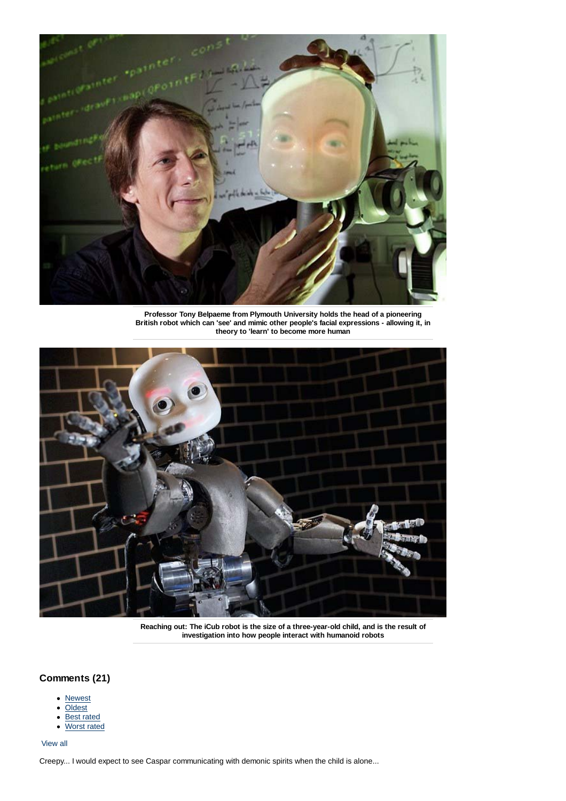

**Professor Tony Belpaeme from Plymouth University holds the head of a pioneering British robot which can 'see' and mimic other people's facial expressions - allowing it, in theory to 'learn' to become more human**



**Reaching out: The iCub robot is the size of a three-year-old child, and is the result of investigation into how people interact with humanoid robots**

# **Comments (21)**

- **Newest**
- Oldest
- Best rated  $\bullet$
- Worst rated

#### View all

Creepy... I would expect to see Caspar communicating with demonic spirits when the child is alone...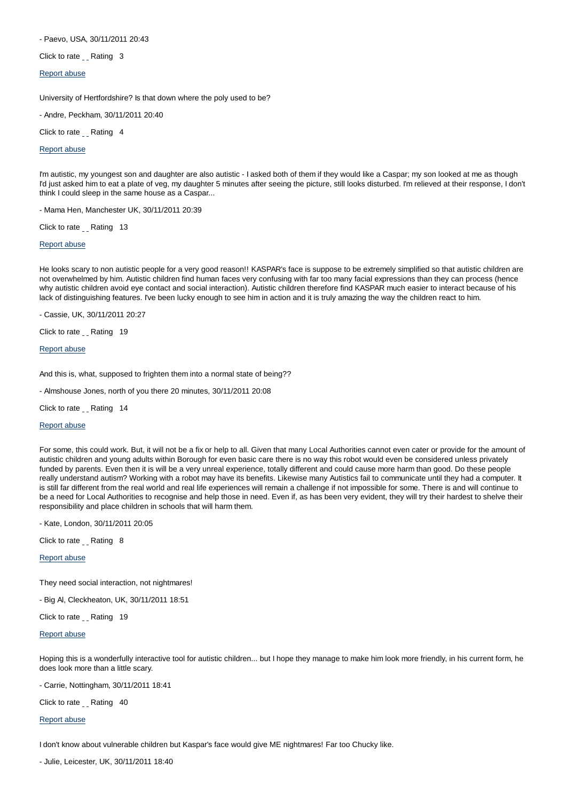#### - Paevo, USA, 30/11/2011 20:43

Click to rate Rating 3

#### Report abuse

University of Hertfordshire? Is that down where the poly used to be?

- Andre, Peckham, 30/11/2011 20:40

Click to rate Rating 4

Report abuse

I'm autistic, my youngest son and daughter are also autistic - I asked both of them if they would like a Caspar; my son looked at me as though I'd just asked him to eat a plate of veg, my daughter 5 minutes after seeing the picture, still looks disturbed. I'm relieved at their response, I don't think I could sleep in the same house as a Caspar...

- Mama Hen, Manchester UK, 30/11/2011 20:39

Click to rate \_\_ Rating 13

#### Report abuse

He looks scary to non autistic people for a very good reason!! KASPAR's face is suppose to be extremely simplified so that autistic children are not overwhelmed by him. Autistic children find human faces very confusing with far too many facial expressions than they can process (hence why autistic children avoid eye contact and social interaction). Autistic children therefore find KASPAR much easier to interact because of his lack of distinguishing features. I've been lucky enough to see him in action and it is truly amazing the way the children react to him.

- Cassie, UK, 30/11/2011 20:27

Click to rate Rating 19

Report abuse

And this is, what, supposed to frighten them into a normal state of being??

- Almshouse Jones, north of you there 20 minutes, 30/11/2011 20:08

Click to rate \_\_ Rating 14

#### Report abuse

For some, this could work. But, it will not be a fix or help to all. Given that many Local Authorities cannot even cater or provide for the amount of autistic children and young adults within Borough for even basic care there is no way this robot would even be considered unless privately funded by parents. Even then it is will be a very unreal experience, totally different and could cause more harm than good. Do these people really understand autism? Working with a robot may have its benefits. Likewise many Autistics fail to communicate until they had a computer. It is still far different from the real world and real life experiences will remain a challenge if not impossible for some. There is and will continue to be a need for Local Authorities to recognise and help those in need. Even if, as has been very evident, they will try their hardest to shelve their responsibility and place children in schools that will harm them.

- Kate, London, 30/11/2011 20:05

Click to rate Rating 8

Report abuse

They need social interaction, not nightmares!

- Big Al, Cleckheaton, UK, 30/11/2011 18:51

Click to rate \_\_ Rating 19

Report abuse

Hoping this is a wonderfully interactive tool for autistic children... but I hope they manage to make him look more friendly, in his current form, he does look more than a little scary.

- Carrie, Nottingham, 30/11/2011 18:41

Click to rate \_ Rating 40

Report abuse

I don't know about vulnerable children but Kaspar's face would give ME nightmares! Far too Chucky like.

- Julie, Leicester, UK, 30/11/2011 18:40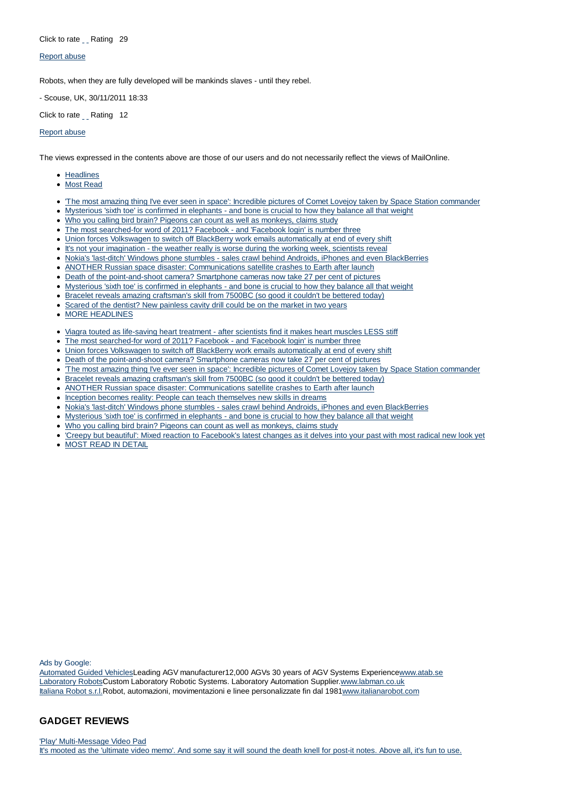#### Click to rate Rating 29

#### Report abuse

Robots, when they are fully developed will be mankinds slaves - until they rebel.

- Scouse, UK, 30/11/2011 18:33

Click to rate Rating 12

#### Report abuse

The views expressed in the contents above are those of our users and do not necessarily reflect the views of MailOnline.

- Headlines
- Most Read
- 'The most amazing thing I've ever seen in space': Incredible pictures of Comet Lovejoy taken by Space Station commander
- Mysterious 'sixth toe' is confirmed in elephants and bone is crucial to how they balance all that weight
- Who you calling bird brain? Pigeons can count as well as monkeys, claims study
- The most searched-for word of 2011? Facebook and 'Facebook login' is number three
- Union forces Volkswagen to switch off BlackBerry work emails automatically at end of every shift
- It's not your imagination the weather really is worse during the working week, scientists reveal
- Nokia's 'last-ditch' Windows phone stumbles sales crawl behind Androids, iPhones and even BlackBerries
- ANOTHER Russian space disaster: Communications satellite crashes to Earth after launch
- Death of the point-and-shoot camera? Smartphone cameras now take 27 per cent of pictures
- Mysterious 'sixth toe' is confirmed in elephants and bone is crucial to how they balance all that weight
- Bracelet reveals amazing craftsman's skill from 7500BC (so good it couldn't be bettered today)
- Scared of the dentist? New painless cavity drill could be on the market in two years
- **MORE HEADLINES**
- Viagra touted as life-saving heart treatment after scientists find it makes heart muscles LESS stiff
- The most searched-for word of 2011? Facebook and 'Facebook login' is number three  $\bullet$
- Union forces Volkswagen to switch off BlackBerry work emails automatically at end of every shift
- Death of the point-and-shoot camera? Smartphone cameras now take 27 per cent of pictures
- 'The most amazing thing I've ever seen in space': Incredible pictures of Comet Lovejoy taken by Space Station commander
- Bracelet reveals amazing craftsman's skill from 7500BC (so good it couldn't be bettered today)  $\bullet$
- ANOTHER Russian space disaster: Communications satellite crashes to Earth after launch
- Inception becomes reality: People can teach themselves new skills in dreams
- Nokia's 'last-ditch' Windows phone stumbles sales crawl behind Androids, iPhones and even BlackBerries
- Mysterious 'sixth toe' is confirmed in elephants and bone is crucial to how they balance all that weight
- Who you calling bird brain? Pigeons can count as well as monkeys, claims study
- 'Creepy but beautiful': Mixed reaction to Facebook's latest changes as it delves into your past with most radical new look yet
- MOST READ IN DETAIL

Ads by Google:

Automated Guided VehiclesLeading AGV manufacturer12,000 AGVs 30 years of AGV Systems Experiencewww.atab.se Laboratory RobotsCustom Laboratory Robotic Systems. Laboratory Automation Supplier.www.labman.co.uk Italiana Robot s.r.l.Robot, automazioni, movimentazioni e linee personalizzate fin dal 1981www.italianarobot.com

### **GADGET REVIEWS**

'Play' Multi-Message Video Pad It's mooted as the 'ultimate video memo'. And some say it will sound the death knell for post-it notes. Above all, it's fun to use.